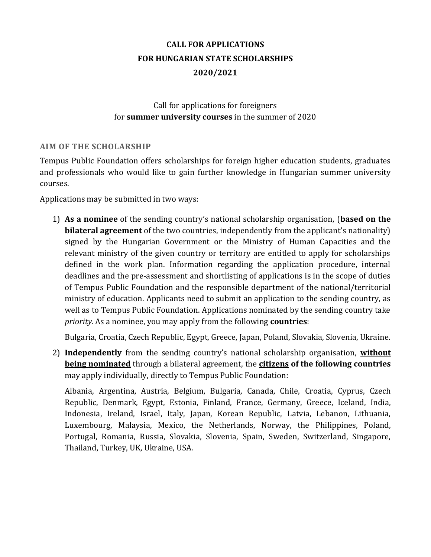# **CALL FOR APPLICATIONS FOR HUNGARIAN STATE SCHOLARSHIPS 2020/2021**

# Call for applications for foreigners for **summer university courses** in the summer of 2020

### **AIM OF THE SCHOLARSHIP**

Tempus Public Foundation offers scholarships for foreign higher education students, graduates and professionals who would like to gain further knowledge in Hungarian summer university courses.

Applications may be submitted in two ways:

1) **As a nominee** of the sending country's national scholarship organisation, (**based on the bilateral agreement** of the two countries, independently from the applicant's nationality) signed by the Hungarian Government or the Ministry of Human Capacities and the relevant ministry of the given country or territory are entitled to apply for scholarships defined in the work plan. Information regarding the application procedure, internal deadlines and the pre-assessment and shortlisting of applications is in the scope of duties of Tempus Public Foundation and the responsible department of the national/territorial ministry of education. Applicants need to submit an application to the sending country, as well as to Tempus Public Foundation. Applications nominated by the sending country take *priority*. As a nominee, you may apply from the following **countries**:

Bulgaria, Croatia, Czech Republic, Egypt, Greece, Japan, Poland, Slovakia, Slovenia, Ukraine.

2) **Independently** from the sending country's national scholarship organisation, **without being nominated** through a bilateral agreement, the **citizens of the following countries** may apply individually, directly to Tempus Public Foundation:

Albania, Argentina, Austria, Belgium, Bulgaria, Canada, Chile, Croatia, Cyprus, Czech Republic, Denmark, Egypt, Estonia, Finland, France, Germany, Greece, Iceland, India, Indonesia, Ireland, Israel, Italy, Japan, Korean Republic, Latvia, Lebanon, Lithuania, Luxembourg, Malaysia, Mexico, the Netherlands, Norway, the Philippines, Poland, Portugal, Romania, Russia, Slovakia, Slovenia, Spain, Sweden, Switzerland, Singapore, Thailand, Turkey, UK, Ukraine, USA.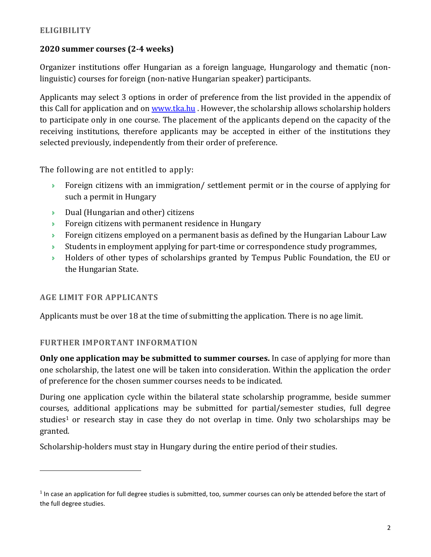# **2020 summer courses (2-4 weeks)**

Organizer institutions offer Hungarian as a foreign language, Hungarology and thematic (nonlinguistic) courses for foreign (non-native Hungarian speaker) participants.

Applicants may select 3 options in order of preference from the list provided in the appendix of this Call for application and on [www.tka.hu](http://www.tka.hu/). However, the scholarship allows scholarship holders to participate only in one course. The placement of the applicants depend on the capacity of the receiving institutions, therefore applicants may be accepted in either of the institutions they selected previously, independently from their order of preference.

The following are not entitled to apply:

- **Foreign citizens with an immigration/ settlement permit or in the course of applying for** such a permit in Hungary
- $\triangleright$  Dual (Hungarian and other) citizens
- Foreign citizens with permanent residence in Hungary
- **Foreign citizens employed on a permanent basis as defined by the Hungarian Labour Law**
- $\rightarrow$  Students in employment applying for part-time or correspondence study programmes,
- Holders of other types of scholarships granted by Tempus Public Foundation, the EU or the Hungarian State.

# **AGE LIMIT FOR APPLICANTS**

 $\overline{a}$ 

Applicants must be over 18 at the time of submitting the application. There is no age limit.

# **FURTHER IMPORTANT INFORMATION**

**Only one application may be submitted to summer courses.** In case of applying for more than one scholarship, the latest one will be taken into consideration. Within the application the order of preference for the chosen summer courses needs to be indicated.

During one application cycle within the bilateral state scholarship programme, beside summer courses, additional applications may be submitted for partial/semester studies, full degree studies<sup>1</sup> or research stay in case they do not overlap in time. Only two scholarships may be granted.

Scholarship-holders must stay in Hungary during the entire period of their studies.

 $1$  In case an application for full degree studies is submitted, too, summer courses can only be attended before the start of the full degree studies.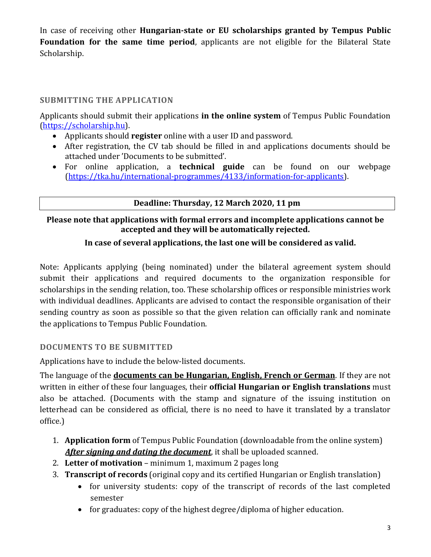In case of receiving other **Hungarian-state or EU scholarships granted by Tempus Public Foundation for the same time period**, applicants are not eligible for the Bilateral State Scholarship.

# **SUBMITTING THE APPLICATION**

Applicants should submit their applications **in the online system** of Tempus Public Foundation [\(https://scholarship.hu\)](http://www.scholarship.hu/).

- Applicants should **register** online with a user ID and password.
- After registration, the CV tab should be filled in and applications documents should be attached under 'Documents to be submitted'.
- For online application, a **technical guide** can be found on our webpage [\(https://tka.hu/international-programmes/4133/information-for-applicants\)](https://tka.hu/international-programmes/4133/information-for-applicants).

# **Deadline: Thursday, 12 March 2020, 11 pm**

## **Please note that applications with formal errors and incomplete applications cannot be accepted and they will be automatically rejected.**

# **In case of several applications, the last one will be considered as valid.**

Note: Applicants applying (being nominated) under the bilateral agreement system should submit their applications and required documents to the organization responsible for scholarships in the sending relation, too. These scholarship offices or responsible ministries work with individual deadlines. Applicants are advised to contact the responsible organisation of their sending country as soon as possible so that the given relation can officially rank and nominate the applications to Tempus Public Foundation.

### **DOCUMENTS TO BE SUBMITTED**

Applications have to include the below-listed documents.

The language of the **documents can be Hungarian, English, French or German**. If they are not written in either of these four languages, their **official Hungarian or English translations** must also be attached. (Documents with the stamp and signature of the issuing institution on letterhead can be considered as official, there is no need to have it translated by a translator office.)

- 1. **Application form** of Tempus Public Foundation (downloadable from the online system) *After signing and dating the document*, it shall be uploaded scanned.
- 2. **Letter of motivation** minimum 1, maximum 2 pages long
- 3. **Transcript of records** (original copy and its certified Hungarian or English translation)
	- for university students: copy of the transcript of records of the last completed semester
	- for graduates: copy of the highest degree/diploma of higher education.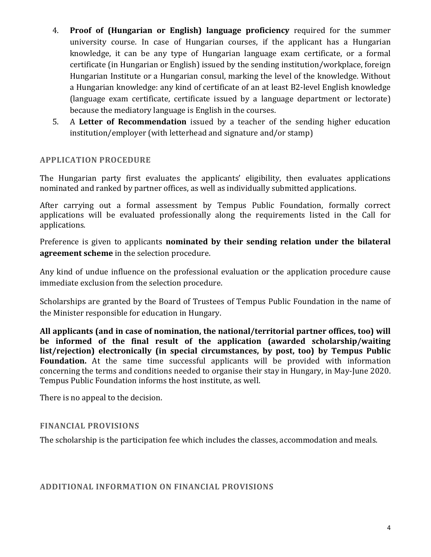- 4. **Proof of (Hungarian or English) language proficiency** required for the summer university course. In case of Hungarian courses, if the applicant has a Hungarian knowledge, it can be any type of Hungarian language exam certificate, or a formal certificate (in Hungarian or English) issued by the sending institution/workplace, foreign Hungarian Institute or a Hungarian consul, marking the level of the knowledge. Without a Hungarian knowledge: any kind of certificate of an at least B2-level English knowledge (language exam certificate, certificate issued by a language department or lectorate) because the mediatory language is English in the courses.
- 5. A **Letter of Recommendation** issued by a teacher of the sending higher education institution/employer (with letterhead and signature and/or stamp)

#### **APPLICATION PROCEDURE**

The Hungarian party first evaluates the applicants' eligibility, then evaluates applications nominated and ranked by partner offices, as well as individually submitted applications.

After carrying out a formal assessment by Tempus Public Foundation, formally correct applications will be evaluated professionally along the requirements listed in the Call for applications.

Preference is given to applicants **nominated by their sending relation under the bilateral agreement scheme** in the selection procedure.

Any kind of undue influence on the professional evaluation or the application procedure cause immediate exclusion from the selection procedure.

Scholarships are granted by the Board of Trustees of Tempus Public Foundation in the name of the Minister responsible for education in Hungary.

**All applicants (and in case of nomination, the national/territorial partner offices, too) will be informed of the final result of the application (awarded scholarship/waiting list/rejection) electronically (in special circumstances, by post, too) by Tempus Public Foundation.** At the same time successful applicants will be provided with information concerning the terms and conditions needed to organise their stay in Hungary, in May-June 2020. Tempus Public Foundation informs the host institute, as well.

There is no appeal to the decision.

#### **FINANCIAL PROVISIONS**

The scholarship is the participation fee which includes the classes, accommodation and meals.

#### **ADDITIONAL INFORMATION ON FINANCIAL PROVISIONS**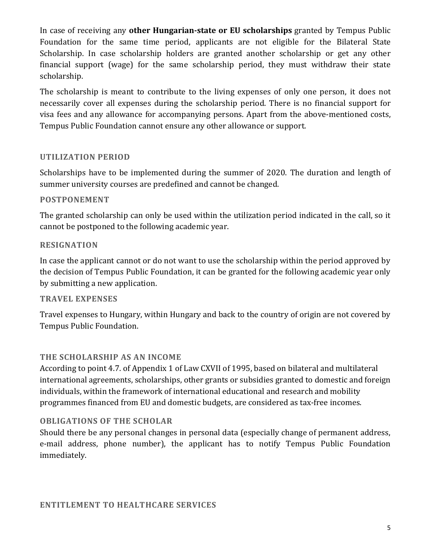In case of receiving any **other Hungarian-state or EU scholarships** granted by Tempus Public Foundation for the same time period, applicants are not eligible for the Bilateral State Scholarship. In case scholarship holders are granted another scholarship or get any other financial support (wage) for the same scholarship period, they must withdraw their state scholarship.

The scholarship is meant to contribute to the living expenses of only one person, it does not necessarily cover all expenses during the scholarship period. There is no financial support for visa fees and any allowance for accompanying persons. Apart from the above-mentioned costs, Tempus Public Foundation cannot ensure any other allowance or support.

### **UTILIZATION PERIOD**

Scholarships have to be implemented during the summer of 2020. The duration and length of summer university courses are predefined and cannot be changed.

#### **POSTPONEMENT**

The granted scholarship can only be used within the utilization period indicated in the call, so it cannot be postponed to the following academic year.

#### **RESIGNATION**

In case the applicant cannot or do not want to use the scholarship within the period approved by the decision of Tempus Public Foundation, it can be granted for the following academic year only by submitting a new application.

### **TRAVEL EXPENSES**

Travel expenses to Hungary, within Hungary and back to the country of origin are not covered by Tempus Public Foundation.

### **THE SCHOLARSHIP AS AN INCOME**

According to point 4.7. of Appendix 1 of Law CXVII of 1995, based on bilateral and multilateral international agreements, scholarships, other grants or subsidies granted to domestic and foreign individuals, within the framework of international educational and research and mobility programmes financed from EU and domestic budgets, are considered as tax-free incomes.

#### **OBLIGATIONS OF THE SCHOLAR**

Should there be any personal changes in personal data (especially change of permanent address, e-mail address, phone number), the applicant has to notify Tempus Public Foundation immediately.